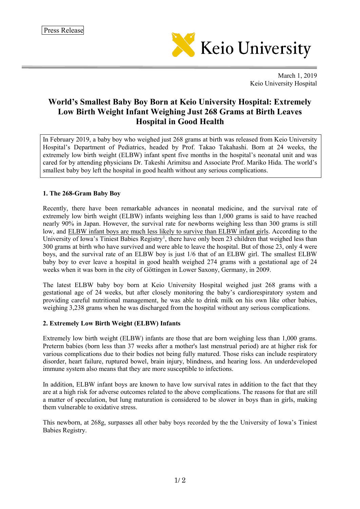

March 1, 2019 Keio University Hospital

## **World's Smallest Baby Boy Born at Keio University Hospital: Extremely Low Birth Weight Infant Weighing Just 268 Grams at Birth Leaves Hospital in Good Health**

In February 2019, a baby boy who weighed just 268 grams at birth was released from Keio University Hospital's Department of Pediatrics, headed by Prof. Takao Takahashi. Born at 24 weeks, the extremely low birth weight (ELBW) infant spent five months in the hospital's neonatal unit and was cared for by attending physicians Dr. Takeshi Arimitsu and Associate Prof. Mariko Hida. The world's smallest baby boy left the hospital in good health without any serious complications.

## **1. The 268-Gram Baby Boy**

Recently, there have been remarkable advances in neonatal medicine, and the survival rate of extremely low birth weight (ELBW) infants weighing less than 1,000 grams is said to have reached nearly 90% in Japan. However, the survival rate for newborns weighing less than 300 grams is still low, and ELBW infant boys are much less likely to survive than ELBW infant girls. According to the University of Iowa's Tiniest Babies Registry<sup>[1](#page-0-0)</sup>, there have only been 23 children that weighed less than 300 grams at birth who have survived and were able to leave the hospital. But of those 23, only 4 were boys, and the survival rate of an ELBW boy is just 1/6 that of an ELBW girl. The smallest ELBW baby boy to ever leave a hospital in good health weighed 274 grams with a gestational age of 24 weeks when it was born in the city of Göttingen in Lower Saxony, Germany, in 2009.

The latest ELBW baby boy born at Keio University Hospital weighed just 268 grams with a gestational age of 24 weeks, but after closely monitoring the baby's cardiorespiratory system and providing careful nutritional management, he was able to drink milk on his own like other babies, weighing 3,238 grams when he was discharged from the hospital without any serious complications.

## **2. Extremely Low Birth Weight (ELBW) Infants**

Extremely low birth weight (ELBW) infants are those that are born weighing less than 1,000 grams. Preterm babies (born less than 37 weeks after a mother's last menstrual period) are at higher risk for various complications due to their bodies not being fully matured. Those risks can include respiratory disorder, heart failure, ruptured bowel, brain injury, blindness, and hearing loss. An underdeveloped immune system also means that they are more susceptible to infections.

In addition, ELBW infant boys are known to have low survival rates in addition to the fact that they are at a high risk for adverse outcomes related to the above complications. The reasons for that are still a matter of speculation, but lung maturation is considered to be slower in boys than in girls, making them vulnerable to oxidative stress.

<span id="page-0-0"></span>This newborn, at 268g, surpasses all other baby boys recorded by the the University of Iowa's Tiniest Babies Registry.